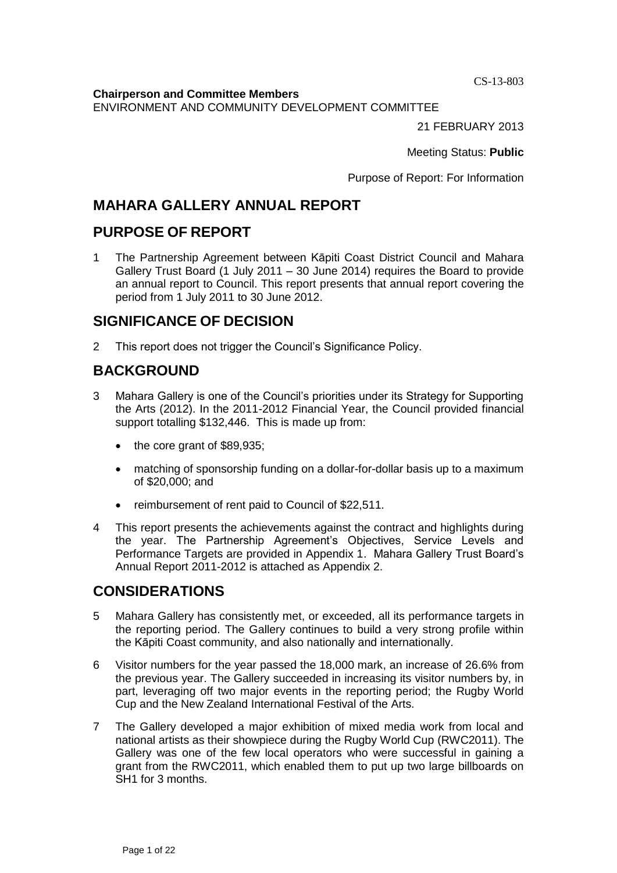CS-13-803

**Chairperson and Committee Members**

ENVIRONMENT AND COMMUNITY DEVELOPMENT COMMITTEE

21 FEBRUARY 2013

Meeting Status: **Public**

Purpose of Report: For Information

# **MAHARA GALLERY ANNUAL REPORT**

# **PURPOSE OF REPORT**

1 The Partnership Agreement between Kāpiti Coast District Council and Mahara Gallery Trust Board (1 July 2011 – 30 June 2014) requires the Board to provide an annual report to Council. This report presents that annual report covering the period from 1 July 2011 to 30 June 2012.

# **SIGNIFICANCE OF DECISION**

2 This report does not trigger the Council's Significance Policy.

# **BACKGROUND**

- 3 Mahara Gallery is one of the Council's priorities under its Strategy for Supporting the Arts (2012). In the 2011-2012 Financial Year, the Council provided financial support totalling \$132,446. This is made up from:
	- the core grant of \$89,935;
	- matching of sponsorship funding on a dollar-for-dollar basis up to a maximum of \$20,000; and
	- reimbursement of rent paid to Council of \$22,511.
- 4 This report presents the achievements against the contract and highlights during the year. The Partnership Agreement's Objectives, Service Levels and Performance Targets are provided in Appendix 1. Mahara Gallery Trust Board's Annual Report 2011-2012 is attached as Appendix 2.

# **CONSIDERATIONS**

- 5 Mahara Gallery has consistently met, or exceeded, all its performance targets in the reporting period. The Gallery continues to build a very strong profile within the Kāpiti Coast community, and also nationally and internationally.
- 6 Visitor numbers for the year passed the 18,000 mark, an increase of 26.6% from the previous year. The Gallery succeeded in increasing its visitor numbers by, in part, leveraging off two major events in the reporting period; the Rugby World Cup and the New Zealand International Festival of the Arts.
- 7 The Gallery developed a major exhibition of mixed media work from local and national artists as their showpiece during the Rugby World Cup (RWC2011). The Gallery was one of the few local operators who were successful in gaining a grant from the RWC2011, which enabled them to put up two large billboards on SH1 for 3 months.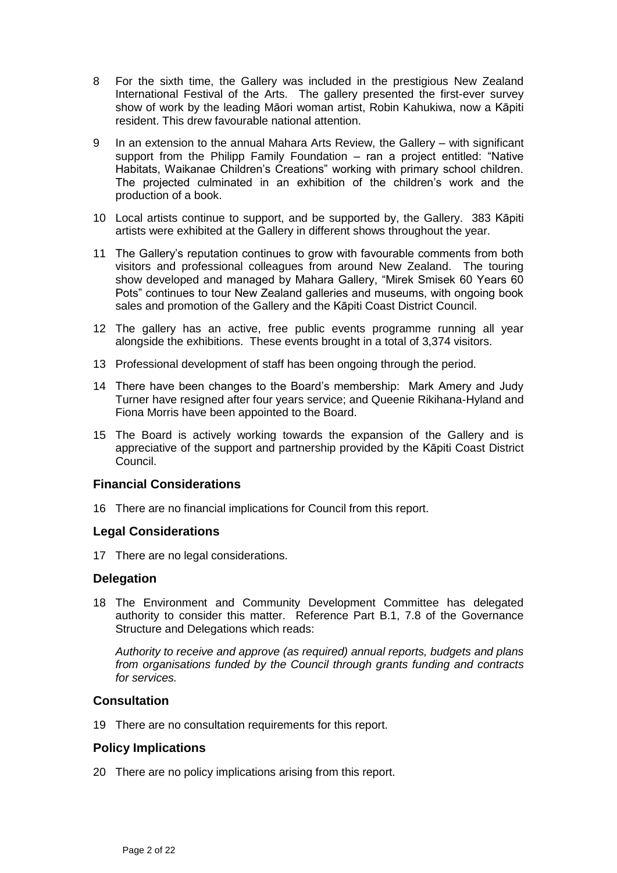- 8 For the sixth time, the Gallery was included in the prestigious New Zealand International Festival of the Arts. The gallery presented the first-ever survey show of work by the leading Māori woman artist, Robin Kahukiwa, now a Kāpiti resident. This drew favourable national attention.
- 9 In an extension to the annual Mahara Arts Review, the Gallery with significant support from the Philipp Family Foundation – ran a project entitled: "Native Habitats, Waikanae Children's Creations" working with primary school children. The projected culminated in an exhibition of the children's work and the production of a book.
- 10 Local artists continue to support, and be supported by, the Gallery. 383 Kāpiti artists were exhibited at the Gallery in different shows throughout the year.
- 11 The Gallery's reputation continues to grow with favourable comments from both visitors and professional colleagues from around New Zealand. The touring show developed and managed by Mahara Gallery, "Mirek Smisek 60 Years 60 Pots" continues to tour New Zealand galleries and museums, with ongoing book sales and promotion of the Gallery and the Kāpiti Coast District Council.
- 12 The gallery has an active, free public events programme running all year alongside the exhibitions. These events brought in a total of 3,374 visitors.
- 13 Professional development of staff has been ongoing through the period.
- 14 There have been changes to the Board's membership: Mark Amery and Judy Turner have resigned after four years service; and Queenie Rikihana-Hyland and Fiona Morris have been appointed to the Board.
- 15 The Board is actively working towards the expansion of the Gallery and is appreciative of the support and partnership provided by the Kāpiti Coast District Council.

#### **Financial Considerations**

16 There are no financial implications for Council from this report.

#### **Legal Considerations**

17 There are no legal considerations.

#### **Delegation**

18 The Environment and Community Development Committee has delegated authority to consider this matter. Reference Part B.1, 7.8 of the Governance Structure and Delegations which reads:

*Authority to receive and approve (as required) annual reports, budgets and plans from organisations funded by the Council through grants funding and contracts for services.*

#### **Consultation**

19 There are no consultation requirements for this report.

## **Policy Implications**

20 There are no policy implications arising from this report.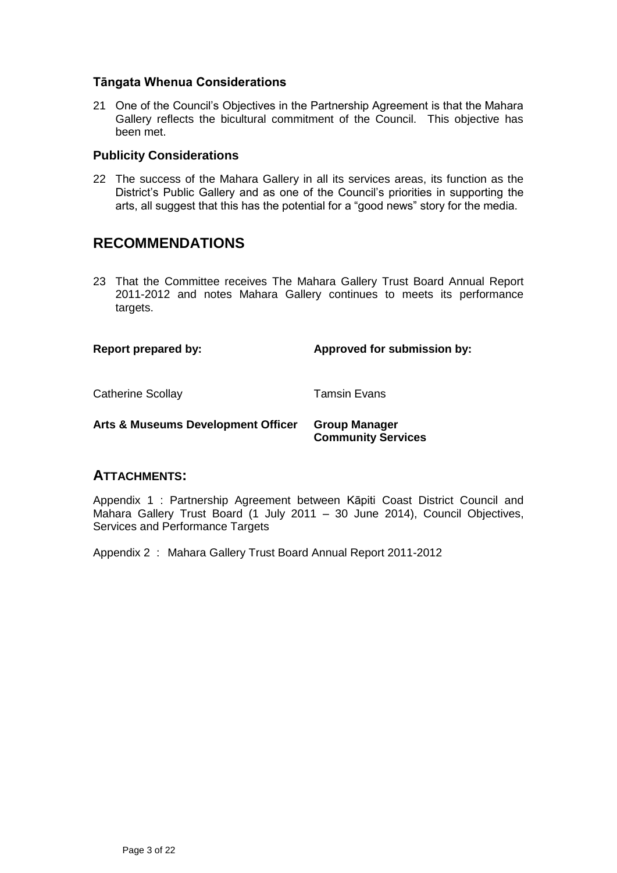#### **Tāngata Whenua Considerations**

21 One of the Council's Objectives in the Partnership Agreement is that the Mahara Gallery reflects the bicultural commitment of the Council. This objective has been met.

#### **Publicity Considerations**

22 The success of the Mahara Gallery in all its services areas, its function as the District's Public Gallery and as one of the Council's priorities in supporting the arts, all suggest that this has the potential for a "good news" story for the media.

# **RECOMMENDATIONS**

23 That the Committee receives The Mahara Gallery Trust Board Annual Report 2011-2012 and notes Mahara Gallery continues to meets its performance targets.

**Report prepared by: Approved for submission by:**

Catherine Scollay **Tamsin Evans** 

**Arts & Museums Development Officer Group Manager Community Services**

## **ATTACHMENTS:**

Appendix 1 : Partnership Agreement between Kāpiti Coast District Council and Mahara Gallery Trust Board (1 July 2011 – 30 June 2014), Council Objectives, Services and Performance Targets

Appendix 2 : Mahara Gallery Trust Board Annual Report 2011-2012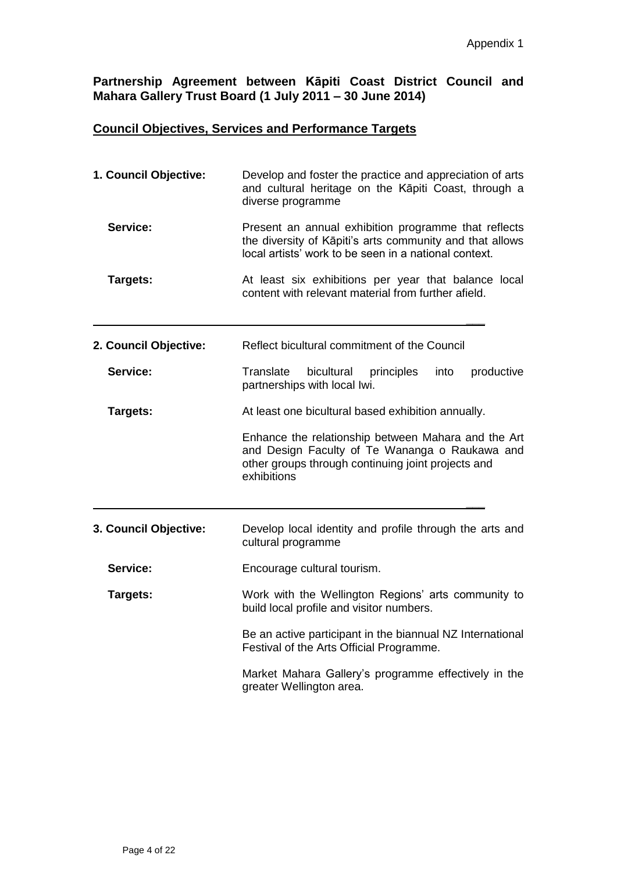# **Partnership Agreement between Kāpiti Coast District Council and Mahara Gallery Trust Board (1 July 2011 – 30 June 2014)**

# **Council Objectives, Services and Performance Targets**

| 1. Council Objective: | Develop and foster the practice and appreciation of arts<br>and cultural heritage on the Kāpiti Coast, through a<br>diverse programme                                      |
|-----------------------|----------------------------------------------------------------------------------------------------------------------------------------------------------------------------|
| Service:              | Present an annual exhibition programme that reflects<br>the diversity of Kāpiti's arts community and that allows<br>local artists' work to be seen in a national context.  |
| Targets:              | At least six exhibitions per year that balance local<br>content with relevant material from further afield.                                                                |
| 2. Council Objective: | Reflect bicultural commitment of the Council                                                                                                                               |
| Service:              | Translate<br>bicultural<br>principles<br>productive<br>into<br>partnerships with local Iwi.                                                                                |
| Targets:              | At least one bicultural based exhibition annually.                                                                                                                         |
|                       | Enhance the relationship between Mahara and the Art<br>and Design Faculty of Te Wananga o Raukawa and<br>other groups through continuing joint projects and<br>exhibitions |
|                       |                                                                                                                                                                            |
| 3. Council Objective: | Develop local identity and profile through the arts and<br>cultural programme                                                                                              |
| Service:              | Encourage cultural tourism.                                                                                                                                                |
| Targets:              | Work with the Wellington Regions' arts community to<br>build local profile and visitor numbers.                                                                            |
|                       | Be an active participant in the biannual NZ International<br>Festival of the Arts Official Programme.                                                                      |
|                       | Market Mahara Gallery's programme effectively in the<br>greater Wellington area.                                                                                           |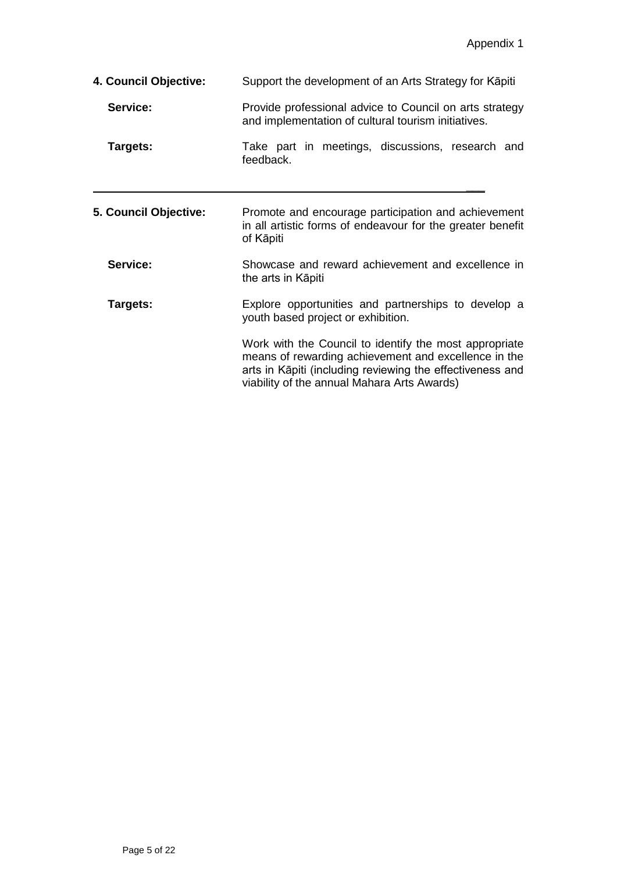| 4. Council Objective: | Support the development of an Arts Strategy for Kapiti                                                                                                                                                                     |
|-----------------------|----------------------------------------------------------------------------------------------------------------------------------------------------------------------------------------------------------------------------|
| Service:              | Provide professional advice to Council on arts strategy<br>and implementation of cultural tourism initiatives.                                                                                                             |
| Targets:              | Take part in meetings, discussions, research and<br>feedback.                                                                                                                                                              |
| 5. Council Objective: | Promote and encourage participation and achievement<br>in all artistic forms of endeavour for the greater benefit<br>of Kāpiti                                                                                             |
| Service:              | Showcase and reward achievement and excellence in<br>the arts in Kāpiti                                                                                                                                                    |
| Targets:              | Explore opportunities and partnerships to develop a<br>youth based project or exhibition.                                                                                                                                  |
|                       | Work with the Council to identify the most appropriate<br>means of rewarding achievement and excellence in the<br>arts in Kāpiti (including reviewing the effectiveness and<br>viability of the annual Mahara Arts Awards) |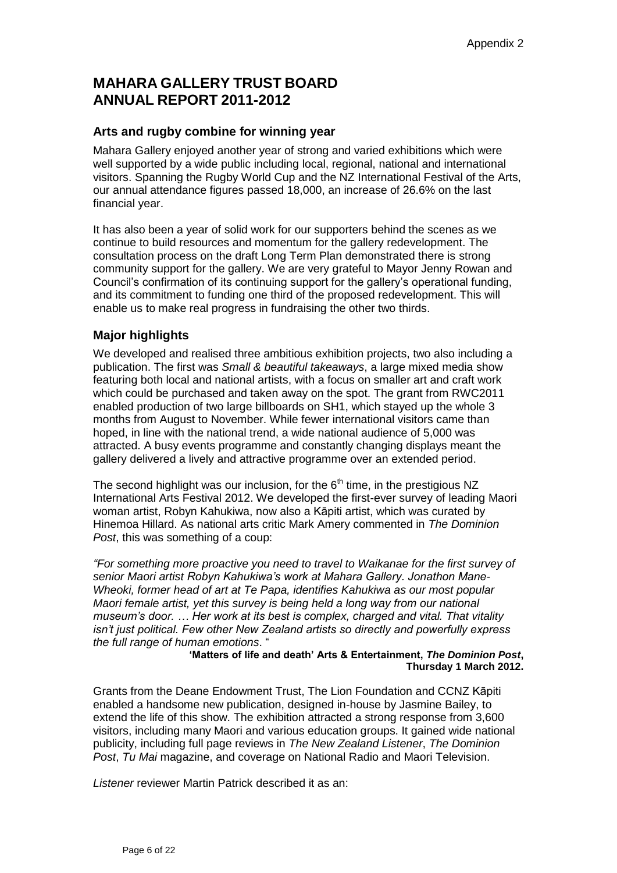# **MAHARA GALLERY TRUST BOARD ANNUAL REPORT 2011-2012**

# **Arts and rugby combine for winning year**

Mahara Gallery enjoyed another year of strong and varied exhibitions which were well supported by a wide public including local, regional, national and international visitors. Spanning the Rugby World Cup and the NZ International Festival of the Arts, our annual attendance figures passed 18,000, an increase of 26.6% on the last financial year.

It has also been a year of solid work for our supporters behind the scenes as we continue to build resources and momentum for the gallery redevelopment. The consultation process on the draft Long Term Plan demonstrated there is strong community support for the gallery. We are very grateful to Mayor Jenny Rowan and Council's confirmation of its continuing support for the gallery's operational funding, and its commitment to funding one third of the proposed redevelopment. This will enable us to make real progress in fundraising the other two thirds.

## **Major highlights**

We developed and realised three ambitious exhibition projects, two also including a publication. The first was *Small & beautiful takeaways*, a large mixed media show featuring both local and national artists, with a focus on smaller art and craft work which could be purchased and taken away on the spot. The grant from RWC2011 enabled production of two large billboards on SH1, which stayed up the whole 3 months from August to November. While fewer international visitors came than hoped, in line with the national trend, a wide national audience of 5,000 was attracted. A busy events programme and constantly changing displays meant the gallery delivered a lively and attractive programme over an extended period.

The second highlight was our inclusion, for the  $6<sup>th</sup>$  time, in the prestigious NZ International Arts Festival 2012. We developed the first-ever survey of leading Maori woman artist, Robyn Kahukiwa, now also a Kāpiti artist, which was curated by Hinemoa Hillard. As national arts critic Mark Amery commented in *The Dominion Post*, this was something of a coup:

*"For something more proactive you need to travel to Waikanae for the first survey of senior Maori artist Robyn Kahukiwa's work at Mahara Gallery. Jonathon Mane-Wheoki, former head of art at Te Papa, identifies Kahukiwa as our most popular Maori female artist, yet this survey is being held a long way from our national museum's door. … Her work at its best is complex, charged and vital. That vitality isn't just political. Few other New Zealand artists so directly and powerfully express the full range of human emotions*. "

**'Matters of life and death' Arts & Entertainment,** *The Dominion Post***, Thursday 1 March 2012.**

Grants from the Deane Endowment Trust, The Lion Foundation and CCNZ Kāpiti enabled a handsome new publication, designed in-house by Jasmine Bailey, to extend the life of this show. The exhibition attracted a strong response from 3,600 visitors, including many Maori and various education groups. It gained wide national publicity, including full page reviews in *The New Zealand Listener*, *The Dominion Post*, *Tu Mai* magazine, and coverage on National Radio and Maori Television.

*Listener* reviewer Martin Patrick described it as an: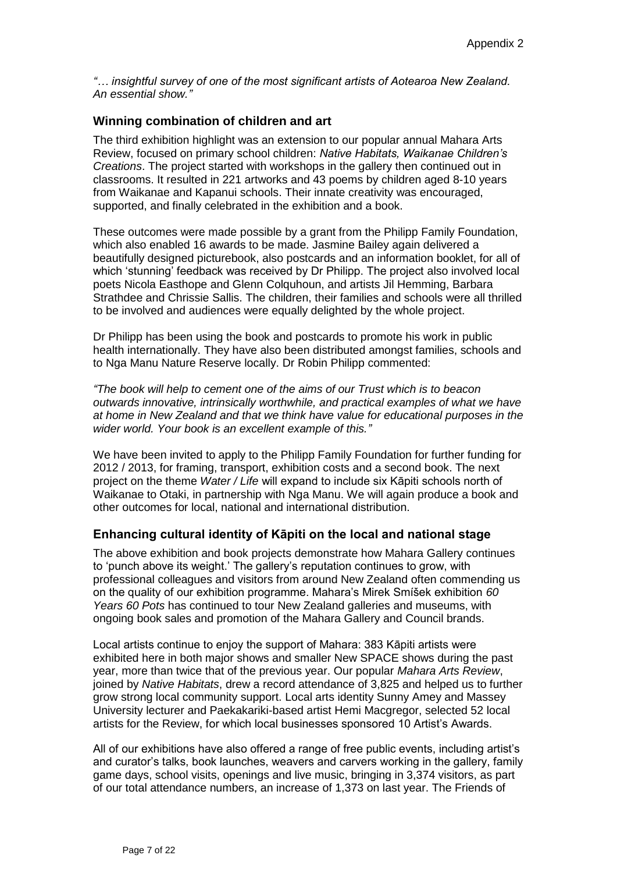*"… insightful survey of one of the most significant artists of Aotearoa New Zealand. An essential show."*

#### **Winning combination of children and art**

The third exhibition highlight was an extension to our popular annual Mahara Arts Review, focused on primary school children: *Native Habitats, Waikanae Children's Creations*. The project started with workshops in the gallery then continued out in classrooms. It resulted in 221 artworks and 43 poems by children aged 8-10 years from Waikanae and Kapanui schools. Their innate creativity was encouraged, supported, and finally celebrated in the exhibition and a book.

These outcomes were made possible by a grant from the Philipp Family Foundation, which also enabled 16 awards to be made. Jasmine Bailey again delivered a beautifully designed picturebook, also postcards and an information booklet, for all of which 'stunning' feedback was received by Dr Philipp. The project also involved local poets Nicola Easthope and Glenn Colquhoun, and artists Jil Hemming, Barbara Strathdee and Chrissie Sallis. The children, their families and schools were all thrilled to be involved and audiences were equally delighted by the whole project.

Dr Philipp has been using the book and postcards to promote his work in public health internationally. They have also been distributed amongst families, schools and to Nga Manu Nature Reserve locally. Dr Robin Philipp commented:

*"The book will help to cement one of the aims of our Trust which is to beacon outwards innovative, intrinsically worthwhile, and practical examples of what we have at home in New Zealand and that we think have value for educational purposes in the wider world. Your book is an excellent example of this."*

We have been invited to apply to the Philipp Family Foundation for further funding for 2012 / 2013, for framing, transport, exhibition costs and a second book. The next project on the theme *Water / Life* will expand to include six Kāpiti schools north of Waikanae to Otaki, in partnership with Nga Manu. We will again produce a book and other outcomes for local, national and international distribution.

#### **Enhancing cultural identity of Kāpiti on the local and national stage**

The above exhibition and book projects demonstrate how Mahara Gallery continues to 'punch above its weight.' The gallery's reputation continues to grow, with professional colleagues and visitors from around New Zealand often commending us on the quality of our exhibition programme. Mahara's Mirek Smíšek exhibition *60 Years 60 Pots* has continued to tour New Zealand galleries and museums, with ongoing book sales and promotion of the Mahara Gallery and Council brands.

Local artists continue to enjoy the support of Mahara: 383 Kāpiti artists were exhibited here in both major shows and smaller New SPACE shows during the past year, more than twice that of the previous year. Our popular *Mahara Arts Review*, joined by *Native Habitats*, drew a record attendance of 3,825 and helped us to further grow strong local community support. Local arts identity Sunny Amey and Massey University lecturer and Paekakariki-based artist Hemi Macgregor, selected 52 local artists for the Review, for which local businesses sponsored 10 Artist's Awards.

All of our exhibitions have also offered a range of free public events, including artist's and curator's talks, book launches, weavers and carvers working in the gallery, family game days, school visits, openings and live music, bringing in 3,374 visitors, as part of our total attendance numbers, an increase of 1,373 on last year. The Friends of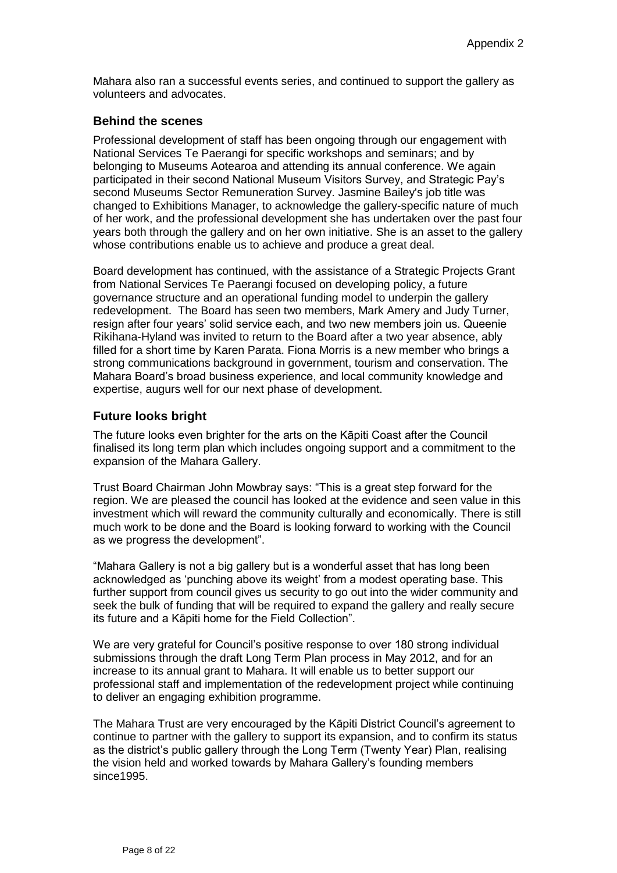Mahara also ran a successful events series, and continued to support the gallery as volunteers and advocates.

#### **Behind the scenes**

Professional development of staff has been ongoing through our engagement with National Services Te Paerangi for specific workshops and seminars; and by belonging to Museums Aotearoa and attending its annual conference. We again participated in their second National Museum Visitors Survey, and Strategic Pay's second Museums Sector Remuneration Survey. Jasmine Bailey's job title was changed to Exhibitions Manager, to acknowledge the gallery-specific nature of much of her work, and the professional development she has undertaken over the past four years both through the gallery and on her own initiative. She is an asset to the gallery whose contributions enable us to achieve and produce a great deal.

Board development has continued, with the assistance of a Strategic Projects Grant from National Services Te Paerangi focused on developing policy, a future governance structure and an operational funding model to underpin the gallery redevelopment. The Board has seen two members, Mark Amery and Judy Turner, resign after four years' solid service each, and two new members join us. Queenie Rikihana-Hyland was invited to return to the Board after a two year absence, ably filled for a short time by Karen Parata. Fiona Morris is a new member who brings a strong communications background in government, tourism and conservation. The Mahara Board's broad business experience, and local community knowledge and expertise, augurs well for our next phase of development.

#### **Future looks bright**

The future looks even brighter for the arts on the Kāpiti Coast after the Council finalised its long term plan which includes ongoing support and a commitment to the expansion of the Mahara Gallery.

Trust Board Chairman John Mowbray says: "This is a great step forward for the region. We are pleased the council has looked at the evidence and seen value in this investment which will reward the community culturally and economically. There is still much work to be done and the Board is looking forward to working with the Council as we progress the development".

"Mahara Gallery is not a big gallery but is a wonderful asset that has long been acknowledged as 'punching above its weight' from a modest operating base. This further support from council gives us security to go out into the wider community and seek the bulk of funding that will be required to expand the gallery and really secure its future and a Kāpiti home for the Field Collection".

We are very grateful for Council's positive response to over 180 strong individual submissions through the draft Long Term Plan process in May 2012, and for an increase to its annual grant to Mahara. It will enable us to better support our professional staff and implementation of the redevelopment project while continuing to deliver an engaging exhibition programme.

The Mahara Trust are very encouraged by the Kāpiti District Council's agreement to continue to partner with the gallery to support its expansion, and to confirm its status as the district's public gallery through the Long Term (Twenty Year) Plan, realising the vision held and worked towards by Mahara Gallery's founding members since1995.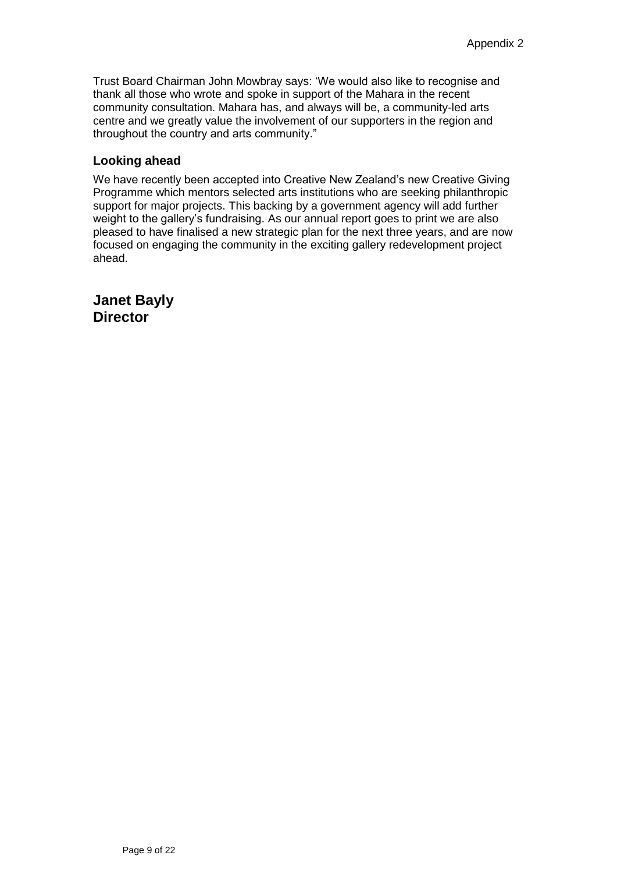Trust Board Chairman John Mowbray says: 'We would also like to recognise and thank all those who wrote and spoke in support of the Mahara in the recent community consultation. Mahara has, and always will be, a community-led arts centre and we greatly value the involvement of our supporters in the region and throughout the country and arts community."

## **Looking ahead**

We have recently been accepted into Creative New Zealand's new Creative Giving Programme which mentors selected arts institutions who are seeking philanthropic support for major projects. This backing by a government agency will add further weight to the gallery's fundraising. As our annual report goes to print we are also pleased to have finalised a new strategic plan for the next three years, and are now focused on engaging the community in the exciting gallery redevelopment project ahead.

**Janet Bayly Director**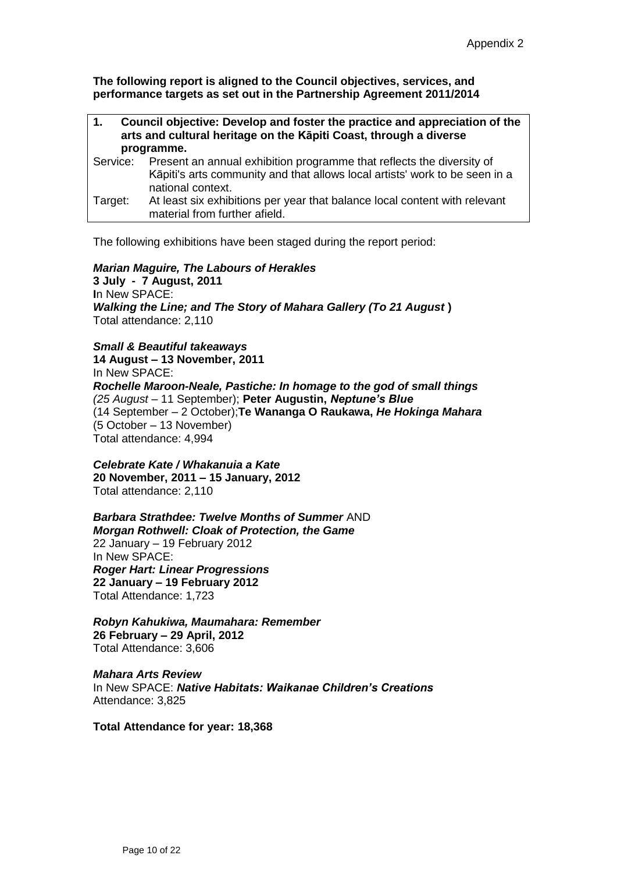**The following report is aligned to the Council objectives, services, and performance targets as set out in the Partnership Agreement 2011/2014**

| 1.       | Council objective: Develop and foster the practice and appreciation of the<br>arts and cultural heritage on the Kāpiti Coast, through a diverse<br>programme.             |  |
|----------|---------------------------------------------------------------------------------------------------------------------------------------------------------------------------|--|
|          |                                                                                                                                                                           |  |
| Service: | Present an annual exhibition programme that reflects the diversity of<br>Kāpiti's arts community and that allows local artists' work to be seen in a<br>national context. |  |
| Target:  | At least six exhibitions per year that balance local content with relevant<br>material from further afield.                                                               |  |
|          |                                                                                                                                                                           |  |

The following exhibitions have been staged during the report period:

#### *Marian Maguire, The Labours of Herakles*

**3 July - 7 August, 2011 I**n New SPACE: *Walking the Line; and The Story of Mahara Gallery (To 21 August* **)** Total attendance: 2,110

*Small & Beautiful takeaways*

**14 August – 13 November, 2011** In New SPACE: *Rochelle Maroon-Neale, Pastiche: In homage to the god of small things (25 August –* 11 September); **Peter Augustin,** *Neptune's Blue* (14 September – 2 October);**Te Wananga O Raukawa,** *He Hokinga Mahara* (5 October – 13 November) Total attendance: 4,994

*Celebrate Kate / Whakanuia a Kate* **20 November, 2011 – 15 January, 2012** Total attendance: 2,110

*Barbara Strathdee: Twelve Months of Summer* AND *Morgan Rothwell: Cloak of Protection, the Game* 22 January – 19 February 2012 In New SPACE: *Roger Hart: Linear Progressions* **22 January – 19 February 2012** Total Attendance: 1,723

*Robyn Kahukiwa, Maumahara: Remember* **26 February – 29 April, 2012** Total Attendance: 3,606

*Mahara Arts Review* In New SPACE: *Native Habitats: Waikanae Children's Creations* Attendance: 3,825

**Total Attendance for year: 18,368**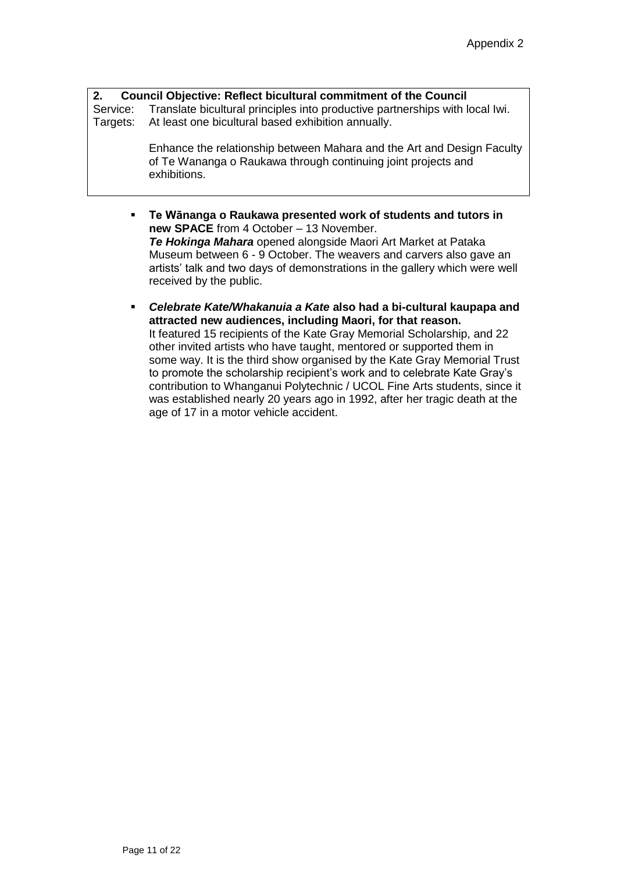**2. Council Objective: Reflect bicultural commitment of the Council** Service: Translate bicultural principles into productive partnerships with local Iwi.<br>Targets: At least one bicultural based exhibition annually. At least one bicultural based exhibition annually.

> Enhance the relationship between Mahara and the Art and Design Faculty of Te Wananga o Raukawa through continuing joint projects and exhibitions.

- **Te Wānanga o Raukawa presented work of students and tutors in new SPACE** from 4 October – 13 November. *Te Hokinga Mahara* opened alongside Maori Art Market at Pataka Museum between 6 - 9 October. The weavers and carvers also gave an artists' talk and two days of demonstrations in the gallery which were well received by the public.
- *Celebrate Kate/Whakanuia a Kate* **also had a bi-cultural kaupapa and attracted new audiences, including Maori, for that reason.** It featured 15 recipients of the Kate Gray Memorial Scholarship, and 22 other invited artists who have taught, mentored or supported them in some way. It is the third show organised by the Kate Gray Memorial Trust to promote the scholarship recipient's work and to celebrate Kate Gray's contribution to Whanganui Polytechnic / UCOL Fine Arts students, since it was established nearly 20 years ago in 1992, after her tragic death at the age of 17 in a motor vehicle accident.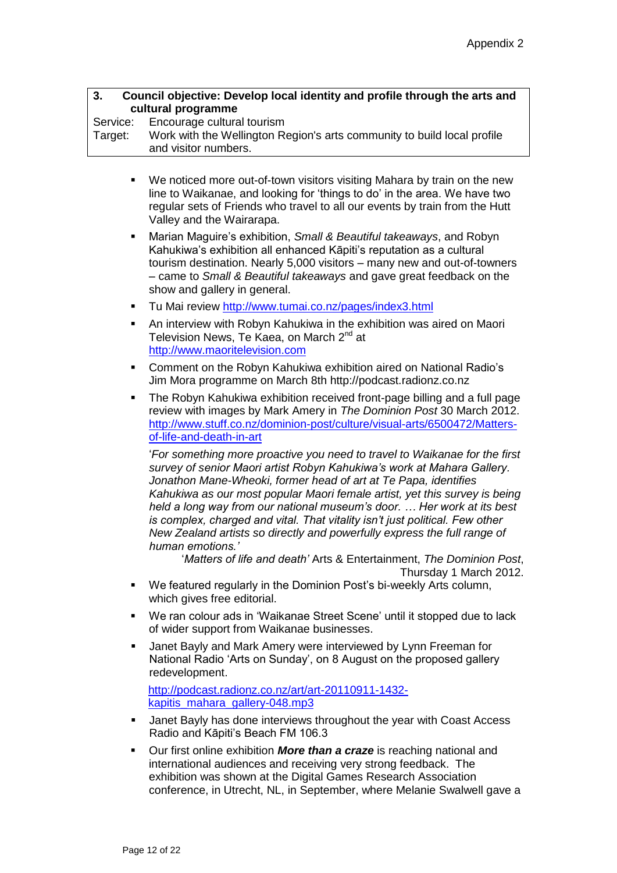| 3.<br>Council objective: Develop local identity and profile through the arts and<br>cultural programme |                                                                                                                                                                                                                                                                                                                                                                                                                                                                                                                                                                 |
|--------------------------------------------------------------------------------------------------------|-----------------------------------------------------------------------------------------------------------------------------------------------------------------------------------------------------------------------------------------------------------------------------------------------------------------------------------------------------------------------------------------------------------------------------------------------------------------------------------------------------------------------------------------------------------------|
| Service:<br>Target:                                                                                    | Encourage cultural tourism<br>Work with the Wellington Region's arts community to build local profile                                                                                                                                                                                                                                                                                                                                                                                                                                                           |
|                                                                                                        | and visitor numbers.                                                                                                                                                                                                                                                                                                                                                                                                                                                                                                                                            |
| ٠                                                                                                      | We noticed more out-of-town visitors visiting Mahara by train on the new<br>line to Waikanae, and looking for 'things to do' in the area. We have two<br>regular sets of Friends who travel to all our events by train from the Hutt<br>Valley and the Wairarapa.                                                                                                                                                                                                                                                                                               |
| ٠                                                                                                      | Marian Maguire's exhibition, Small & Beautiful takeaways, and Robyn<br>Kahukiwa's exhibition all enhanced Kāpiti's reputation as a cultural<br>tourism destination. Nearly 5,000 visitors - many new and out-of-towners<br>- came to Small & Beautiful takeaways and gave great feedback on the<br>show and gallery in general.                                                                                                                                                                                                                                 |
| ٠                                                                                                      | Tu Mai review http://www.tumai.co.nz/pages/index3.html                                                                                                                                                                                                                                                                                                                                                                                                                                                                                                          |
| ٠                                                                                                      | An interview with Robyn Kahukiwa in the exhibition was aired on Maori<br>Television News, Te Kaea, on March 2 <sup>nd</sup> at<br>http://www.maoritelevision.com                                                                                                                                                                                                                                                                                                                                                                                                |
| ٠                                                                                                      | Comment on the Robyn Kahukiwa exhibition aired on National Radio's<br>Jim Mora programme on March 8th http://podcast.radionz.co.nz                                                                                                                                                                                                                                                                                                                                                                                                                              |
| ٠                                                                                                      | The Robyn Kahukiwa exhibition received front-page billing and a full page<br>review with images by Mark Amery in The Dominion Post 30 March 2012.<br>http://www.stuff.co.nz/dominion-post/culture/visual-arts/6500472/Matters-<br>of-life-and-death-in-art                                                                                                                                                                                                                                                                                                      |
|                                                                                                        | 'For something more proactive you need to travel to Waikanae for the first<br>survey of senior Maori artist Robyn Kahukiwa's work at Mahara Gallery.<br>Jonathon Mane-Wheoki, former head of art at Te Papa, identifies<br>Kahukiwa as our most popular Maori female artist, yet this survey is being<br>held a long way from our national museum's door.  Her work at its best<br>is complex, charged and vital. That vitality isn't just political. Few other<br>New Zealand artists so directly and powerfully express the full range of<br>human emotions.' |
|                                                                                                        | 'Matters of life and death' Arts & Entertainment, The Dominion Post,<br>Thursday 1 March 2012.                                                                                                                                                                                                                                                                                                                                                                                                                                                                  |
| ٠                                                                                                      | We featured regularly in the Dominion Post's bi-weekly Arts column,<br>which gives free editorial.                                                                                                                                                                                                                                                                                                                                                                                                                                                              |
| ٠                                                                                                      | We ran colour ads in 'Waikanae Street Scene' until it stopped due to lack<br>of wider support from Waikanae businesses.                                                                                                                                                                                                                                                                                                                                                                                                                                         |
| ٠                                                                                                      | Janet Bayly and Mark Amery were interviewed by Lynn Freeman for<br>National Radio 'Arts on Sunday', on 8 August on the proposed gallery<br>redevelopment.                                                                                                                                                                                                                                                                                                                                                                                                       |
|                                                                                                        | http://podcast.radionz.co.nz/art/art-20110911-1432-<br>kapitis mahara gallery-048.mp3                                                                                                                                                                                                                                                                                                                                                                                                                                                                           |
| ٠                                                                                                      | Janet Bayly has done interviews throughout the year with Coast Access<br>Radio and Kāpiti's Beach FM 106.3                                                                                                                                                                                                                                                                                                                                                                                                                                                      |
| ٠                                                                                                      | Our first online exhibition More than a craze is reaching national and<br>international audiences and receiving very strong feedback. The<br>exhibition was shown at the Digital Games Research Association                                                                                                                                                                                                                                                                                                                                                     |

conference, in Utrecht, NL, in September, where Melanie Swalwell gave a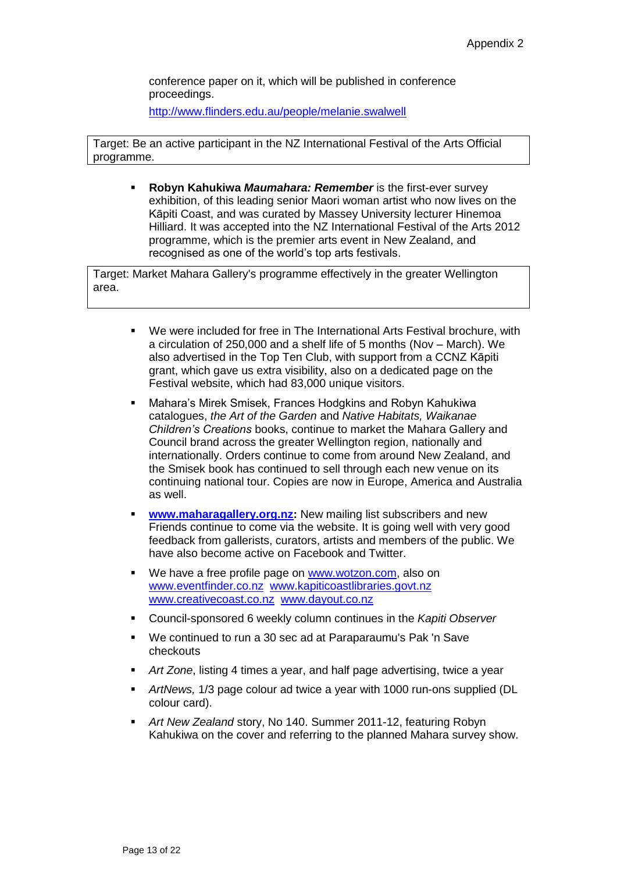conference paper on it, which will be published in conference proceedings.

<http://www.flinders.edu.au/people/melanie.swalwell>

Target: Be an active participant in the NZ International Festival of the Arts Official programme.

**Robyn Kahukiwa** *Maumahara: Remember* is the first-ever survey exhibition, of this leading senior Maori woman artist who now lives on the Kāpiti Coast, and was curated by Massey University lecturer Hinemoa Hilliard. It was accepted into the NZ International Festival of the Arts 2012 programme, which is the premier arts event in New Zealand, and recognised as one of the world's top arts festivals.

Target: Market Mahara Gallery's programme effectively in the greater Wellington area.

- We were included for free in The International Arts Festival brochure, with a circulation of 250,000 and a shelf life of 5 months (Nov – March). We also advertised in the Top Ten Club, with support from a CCNZ Kāpiti grant, which gave us extra visibility, also on a dedicated page on the Festival website, which had 83,000 unique visitors.
- Mahara's Mirek Smisek, Frances Hodgkins and Robyn Kahukiwa catalogues, *the Art of the Garden* and *Native Habitats, Waikanae Children's Creations* books, continue to market the Mahara Gallery and Council brand across the greater Wellington region, nationally and internationally. Orders continue to come from around New Zealand, and the Smisek book has continued to sell through each new venue on its continuing national tour. Copies are now in Europe, America and Australia as well.
- **[www.maharagallery.org.nz:](http://www.maharagallery.org.nz/)** New mailing list subscribers and new Friends continue to come via the website. It is going well with very good feedback from gallerists, curators, artists and members of the public. We have also become active on Facebook and Twitter.
- We have a free profile page on [www.wotzon.com,](http://www.wotzon.com/) also on [www.eventfinder.co.nz](http://www.eventfinder.co.nz/) [www.kapiticoastlibraries.govt.nz](http://www.kapiticoastlibraries.govt.nz/) [www.creativecoast.co.nz](http://www.creativecoast.co.nz/) [www.dayout.co.nz](http://www.dayout.co.nz/)
- Council-sponsored 6 weekly column continues in the *Kapiti Observer*
- We continued to run a 30 sec ad at Paraparaumu's Pak 'n Save checkouts
- *Art Zone*, listing 4 times a year, and half page advertising, twice a year
- *ArtNews,* 1/3 page colour ad twice a year with 1000 run-ons supplied (DL colour card).
- *Art New Zealand* story, No 140. Summer 2011-12, featuring Robyn Kahukiwa on the cover and referring to the planned Mahara survey show.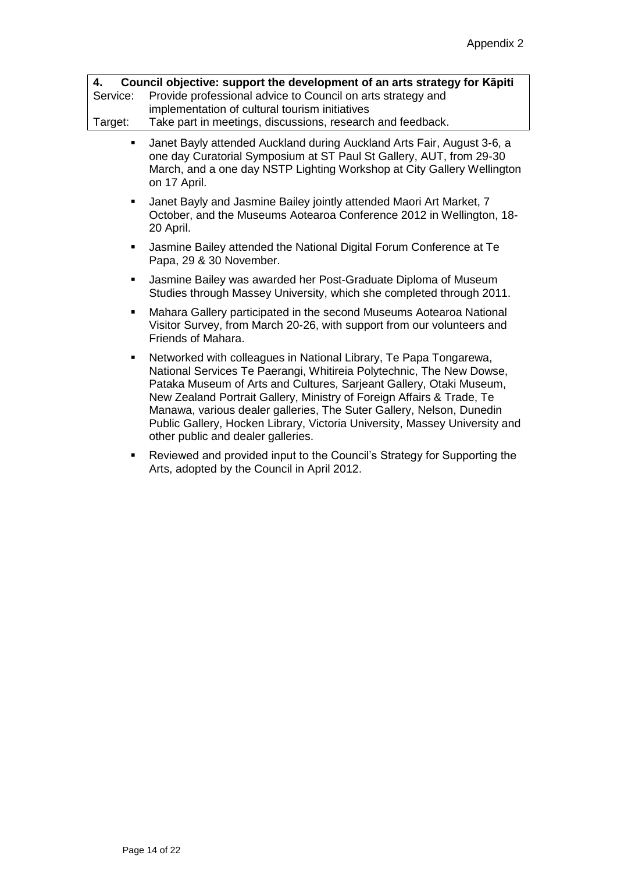| 4.      | Council objective: support the development of an arts strategy for Kapiti |
|---------|---------------------------------------------------------------------------|
|         | Service: Provide professional advice to Council on arts strategy and      |
|         | implementation of cultural tourism initiatives                            |
| Target: | Take part in meetings, discussions, research and feedback.                |

- Janet Bayly attended Auckland during Auckland Arts Fair, August 3-6, a one day Curatorial Symposium at ST Paul St Gallery, AUT, from 29-30 March, and a one day NSTP Lighting Workshop at City Gallery Wellington on 17 April.
- Janet Bayly and Jasmine Bailey jointly attended Maori Art Market, 7 October, and the Museums Aotearoa Conference 2012 in Wellington, 18- 20 April.
- Jasmine Bailey attended the National Digital Forum Conference at Te Papa, 29 & 30 November.
- Jasmine Bailey was awarded her Post-Graduate Diploma of Museum Studies through Massey University, which she completed through 2011.
- Mahara Gallery participated in the second Museums Aotearoa National Visitor Survey, from March 20-26, with support from our volunteers and Friends of Mahara.
- Networked with colleagues in National Library, Te Papa Tongarewa, National Services Te Paerangi, Whitireia Polytechnic, The New Dowse, Pataka Museum of Arts and Cultures, Sarjeant Gallery, Otaki Museum, New Zealand Portrait Gallery, Ministry of Foreign Affairs & Trade, Te Manawa, various dealer galleries, The Suter Gallery, Nelson, Dunedin Public Gallery, Hocken Library, Victoria University, Massey University and other public and dealer galleries.
- Reviewed and provided input to the Council's Strategy for Supporting the Arts, adopted by the Council in April 2012.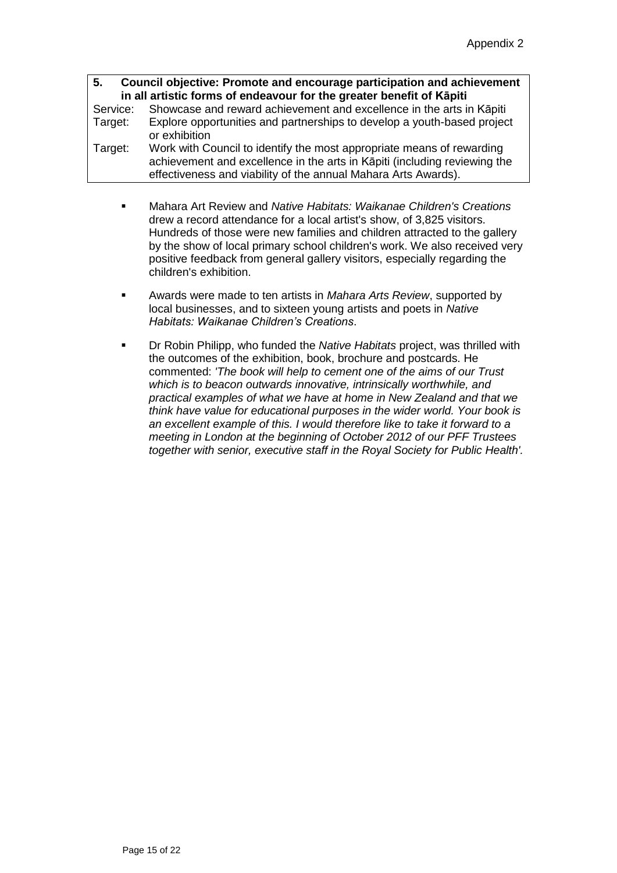**5. Council objective: Promote and encourage participation and achievement in all artistic forms of endeavour for the greater benefit of Kāpiti**<br>Service: Showcase and reward achievement and excellence in the arts in Service: Showcase and reward achievement and excellence in the arts in Kāpiti<br>Target: Explore opportunities and partnerships to develop a youth-based project Explore opportunities and partnerships to develop a youth-based project or exhibition Target: Work with Council to identify the most appropriate means of rewarding achievement and excellence in the arts in Kāpiti (including reviewing the effectiveness and viability of the annual Mahara Arts Awards).

- Mahara Art Review and *Native Habitats: Waikanae Children's Creations* drew a record attendance for a local artist's show, of 3,825 visitors. Hundreds of those were new families and children attracted to the gallery by the show of local primary school children's work. We also received very positive feedback from general gallery visitors, especially regarding the children's exhibition.
- Awards were made to ten artists in *Mahara Arts Review*, supported by local businesses, and to sixteen young artists and poets in *Native Habitats: Waikanae Children's Creations*.
- Dr Robin Philipp, who funded the *Native Habitats* project, was thrilled with the outcomes of the exhibition, book, brochure and postcards. He commented: *'The book will help to cement one of the aims of our Trust which is to beacon outwards innovative, intrinsically worthwhile, and practical examples of what we have at home in New Zealand and that we think have value for educational purposes in the wider world. Your book is an excellent example of this. I would therefore like to take it forward to a meeting in London at the beginning of October 2012 of our PFF Trustees together with senior, executive staff in the Royal Society for Public Health'.*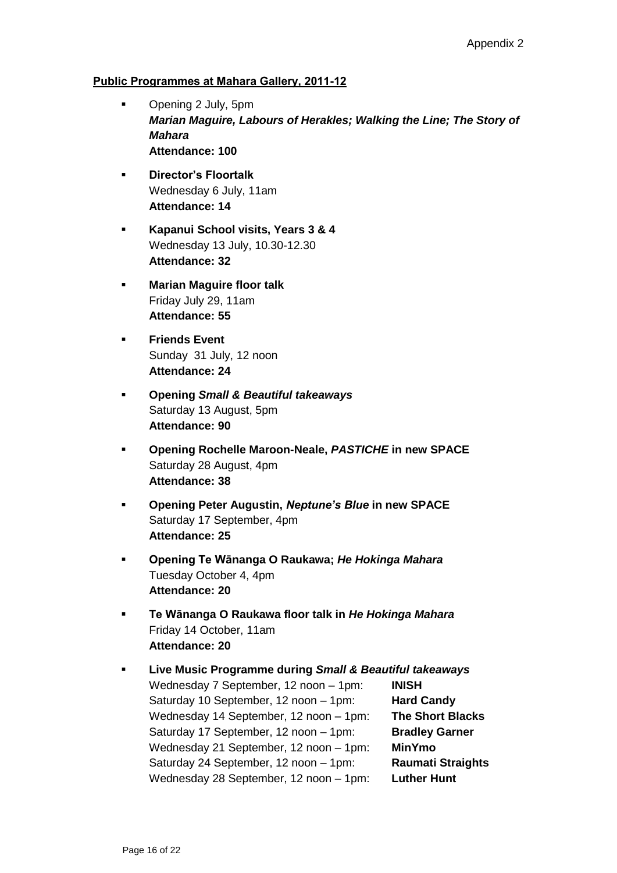## **Public Programmes at Mahara Gallery, 2011-12**

- **•** Opening 2 July, 5pm *Marian Maguire, Labours of Herakles; Walking the Line; The Story of Mahara* **Attendance: 100**
- **Director's Floortalk** Wednesday 6 July, 11am **Attendance: 14**
- **Kapanui School visits, Years 3 & 4** Wednesday 13 July, 10.30-12.30 **Attendance: 32**
- **Marian Maguire floor talk** Friday July 29, 11am **Attendance: 55**
- **Friends Event** Sunday 31 July, 12 noon **Attendance: 24**
- **Opening** *Small & Beautiful takeaways* Saturday 13 August, 5pm **Attendance: 90**
- **Opening Rochelle Maroon-Neale,** *PASTICHE* **in new SPACE** Saturday 28 August, 4pm **Attendance: 38**
- **Opening Peter Augustin,** *Neptune's Blue* **in new SPACE** Saturday 17 September, 4pm **Attendance: 25**
- **Opening Te Wānanga O Raukawa;** *He Hokinga Mahara* Tuesday October 4, 4pm **Attendance: 20**
- **Te Wānanga O Raukawa floor talk in** *He Hokinga Mahara* Friday 14 October, 11am **Attendance: 20**
- **Live Music Programme during** *Small & Beautiful takeaways* Wednesday 7 September, 12 noon – 1pm: **INISH** Saturday 10 September, 12 noon – 1pm: **Hard Candy** Wednesday 14 September, 12 noon – 1pm: **The Short Blacks** Saturday 17 September, 12 noon - 1pm: **Bradley Garner** Wednesday 21 September, 12 noon – 1pm: **MinYmo** Saturday 24 September, 12 noon – 1pm: **Raumati Straights** Wednesday 28 September, 12 noon – 1pm: **Luther Hunt**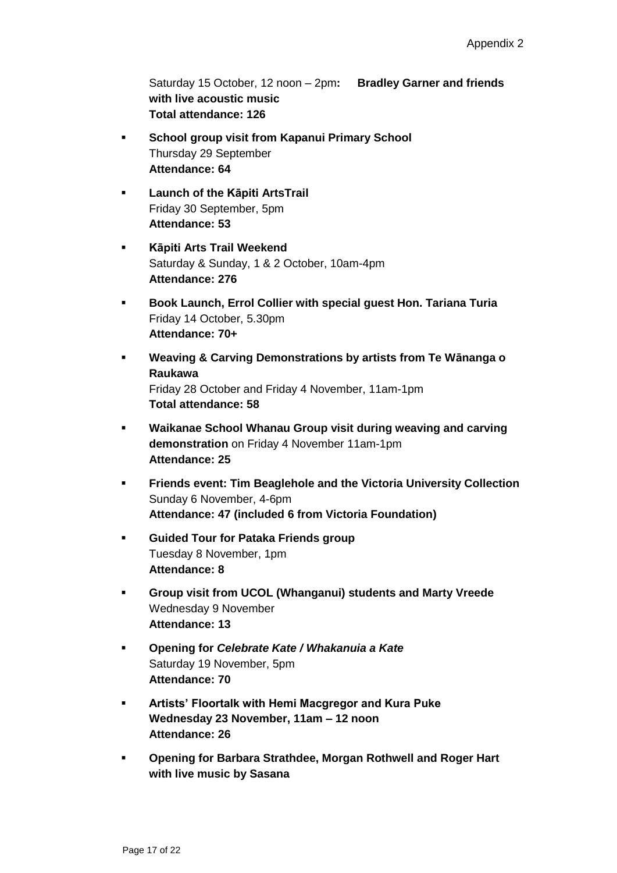Saturday 15 October, 12 noon – 2pm**: Bradley Garner and friends with live acoustic music Total attendance: 126**

- **School group visit from Kapanui Primary School** Thursday 29 September **Attendance: 64**
- **Launch of the Kāpiti ArtsTrail** Friday 30 September, 5pm **Attendance: 53**
- **Kāpiti Arts Trail Weekend** Saturday & Sunday, 1 & 2 October, 10am-4pm **Attendance: 276**
- **Book Launch, Errol Collier with special guest Hon. Tariana Turia** Friday 14 October, 5.30pm **Attendance: 70+**
- **Weaving & Carving Demonstrations by artists from Te Wānanga o Raukawa** Friday 28 October and Friday 4 November, 11am-1pm **Total attendance: 58**
- **Waikanae School Whanau Group visit during weaving and carving demonstration** on Friday 4 November 11am-1pm **Attendance: 25**
- **Friends event: Tim Beaglehole and the Victoria University Collection** Sunday 6 November, 4-6pm **Attendance: 47 (included 6 from Victoria Foundation)**
- **Guided Tour for Pataka Friends group** Tuesday 8 November, 1pm **Attendance: 8**
- **Group visit from UCOL (Whanganui) students and Marty Vreede** Wednesday 9 November **Attendance: 13**
- **Opening for** *Celebrate Kate / Whakanuia a Kate* Saturday 19 November, 5pm **Attendance: 70**
- **Artists' Floortalk with Hemi Macgregor and Kura Puke Wednesday 23 November, 11am – 12 noon Attendance: 26**
- **Opening for Barbara Strathdee, Morgan Rothwell and Roger Hart with live music by Sasana**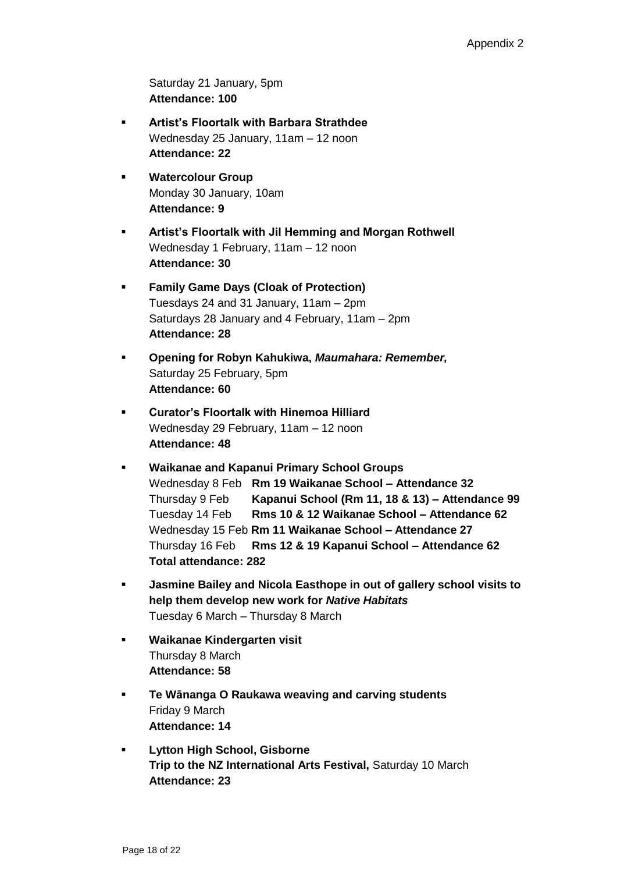Saturday 21 January, 5pm **Attendance: 100**

- **Artist's Floortalk with Barbara Strathdee** Wednesday 25 January, 11am – 12 noon **Attendance: 22**
- **Watercolour Group** Monday 30 January, 10am **Attendance: 9**
- **Artist's Floortalk with Jil Hemming and Morgan Rothwell** Wednesday 1 February, 11am – 12 noon **Attendance: 30**
- **Family Game Days (Cloak of Protection)** Tuesdays 24 and 31 January, 11am – 2pm Saturdays 28 January and 4 February, 11am – 2pm **Attendance: 28**
- **Opening for Robyn Kahukiwa,** *Maumahara: Remember,* Saturday 25 February, 5pm **Attendance: 60**
- **Curator's Floortalk with Hinemoa Hilliard** Wednesday 29 February, 11am – 12 noon **Attendance: 48**
- **Waikanae and Kapanui Primary School Groups**  Wednesday 8 Feb **Rm 19 Waikanae School – Attendance 32** Thursday 9 Feb **Kapanui School (Rm 11, 18 & 13) – Attendance 99** Tuesday 14 Feb **Rms 10 & 12 Waikanae School – Attendance 62** Wednesday 15 Feb **Rm 11 Waikanae School – Attendance 27** Thursday 16 Feb **Rms 12 & 19 Kapanui School – Attendance 62 Total attendance: 282**
- **Jasmine Bailey and Nicola Easthope in out of gallery school visits to help them develop new work for** *Native Habitats* Tuesday 6 March – Thursday 8 March
- **Waikanae Kindergarten visit** Thursday 8 March **Attendance: 58**
- **Te Wānanga O Raukawa weaving and carving students** Friday 9 March **Attendance: 14**
- **Lytton High School, Gisborne Trip to the NZ International Arts Festival,** Saturday 10 March **Attendance: 23**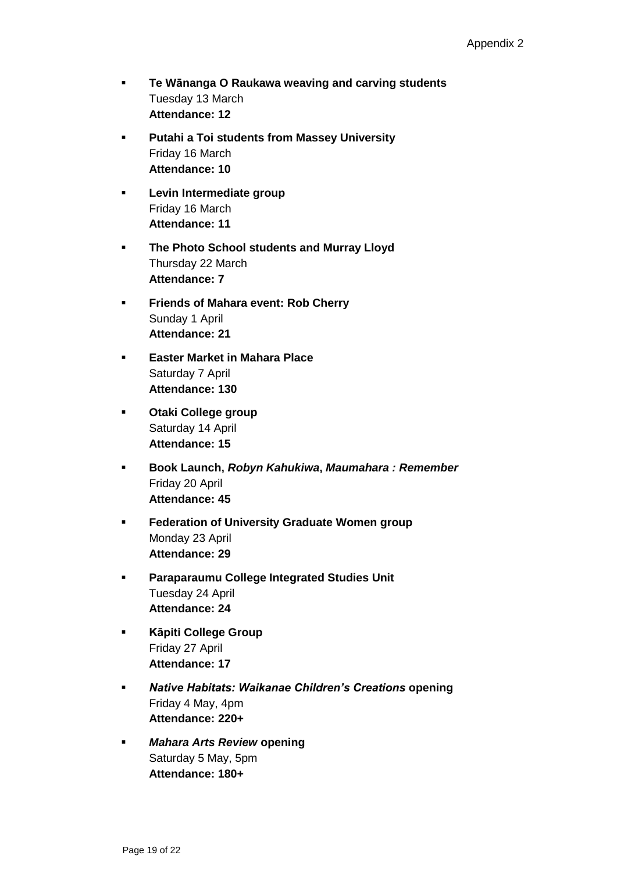- **Te Wānanga O Raukawa weaving and carving students** Tuesday 13 March **Attendance: 12**
- **Putahi a Toi students from Massey University** Friday 16 March **Attendance: 10**
- **Levin Intermediate group** Friday 16 March **Attendance: 11**
- **The Photo School students and Murray Lloyd** Thursday 22 March **Attendance: 7**
- **Friends of Mahara event: Rob Cherry** Sunday 1 April **Attendance: 21**
- **Easter Market in Mahara Place** Saturday 7 April **Attendance: 130**
- **Otaki College group** Saturday 14 April **Attendance: 15**
- **Book Launch,** *Robyn Kahukiwa***,** *Maumahara : Remember* Friday 20 April **Attendance: 45**
- **Federation of University Graduate Women group** Monday 23 April **Attendance: 29**
- **Paraparaumu College Integrated Studies Unit** Tuesday 24 April **Attendance: 24**
- **Kāpiti College Group** Friday 27 April **Attendance: 17**
- *Native Habitats: Waikanae Children's Creations* **opening** Friday 4 May, 4pm **Attendance: 220+**
- *Mahara Arts Review* **opening** Saturday 5 May, 5pm **Attendance: 180+**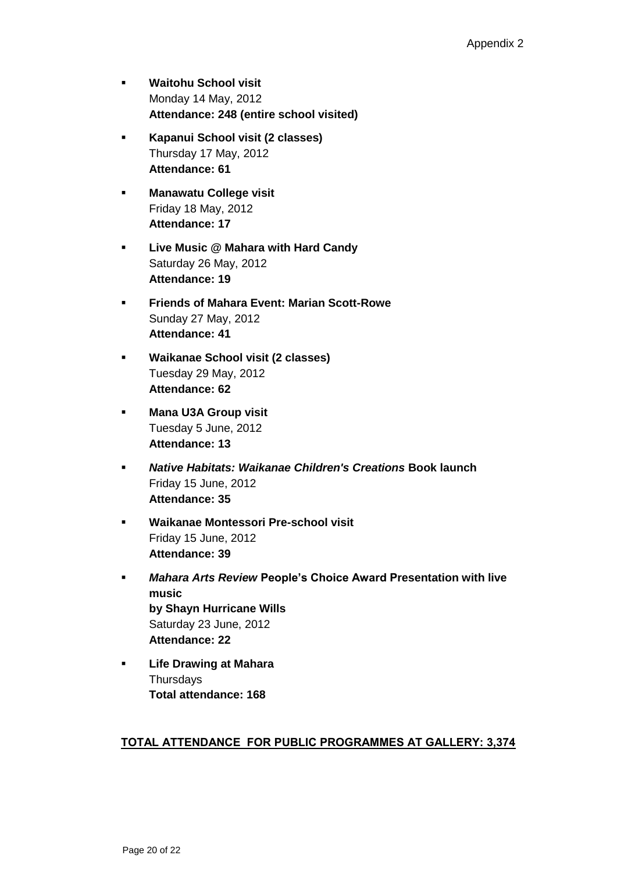- **Waitohu School visit** Monday 14 May, 2012 **Attendance: 248 (entire school visited)**
- **Kapanui School visit (2 classes)** Thursday 17 May, 2012 **Attendance: 61**
- **Manawatu College visit** Friday 18 May, 2012 **Attendance: 17**
- **Live Music @ Mahara with Hard Candy** Saturday 26 May, 2012 **Attendance: 19**
- **Friends of Mahara Event: Marian Scott-Rowe** Sunday 27 May, 2012 **Attendance: 41**
- **Waikanae School visit (2 classes)** Tuesday 29 May, 2012 **Attendance: 62**
- **Mana U3A Group visit** Tuesday 5 June, 2012 **Attendance: 13**
- *Native Habitats: Waikanae Children's Creations* **Book launch** Friday 15 June, 2012 **Attendance: 35**
- **Waikanae Montessori Pre-school visit** Friday 15 June, 2012 **Attendance: 39**
- *Mahara Arts Review* **People's Choice Award Presentation with live music by Shayn Hurricane Wills** Saturday 23 June, 2012 **Attendance: 22**
- **Life Drawing at Mahara Thursdays Total attendance: 168**

# **TOTAL ATTENDANCE FOR PUBLIC PROGRAMMES AT GALLERY: 3,374**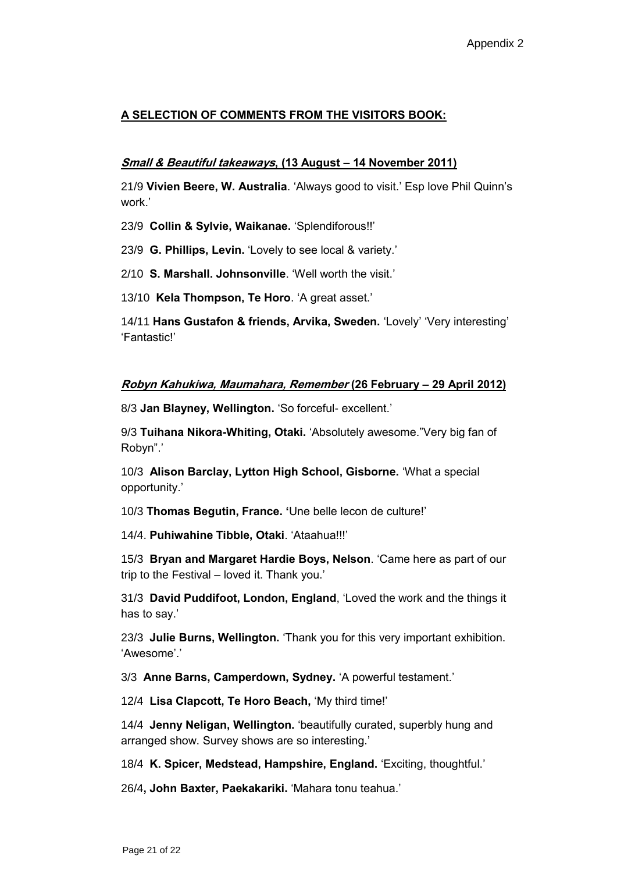# **A SELECTION OF COMMENTS FROM THE VISITORS BOOK:**

## **Small & Beautiful takeaways, (13 August – 14 November 2011)**

21/9 **Vivien Beere, W. Australia**. 'Always good to visit.' Esp love Phil Quinn's work.'

23/9 **Collin & Sylvie, Waikanae.** 'Splendiforous!!'

23/9 **G. Phillips, Levin.** 'Lovely to see local & variety.'

2/10 **S. Marshall. Johnsonville**. 'Well worth the visit.'

13/10 **Kela Thompson, Te Horo**. 'A great asset.'

14/11 **Hans Gustafon & friends, Arvika, Sweden.** 'Lovely' 'Very interesting' 'Fantastic!'

## **Robyn Kahukiwa, Maumahara, Remember (26 February – 29 April 2012)**

8/3 **Jan Blayney, Wellington.** 'So forceful- excellent.'

9/3 **Tuihana Nikora-Whiting, Otaki.** 'Absolutely awesome."Very big fan of Robyn".'

10/3 **Alison Barclay, Lytton High School, Gisborne.** 'What a special opportunity.'

10/3 **Thomas Begutin, France. '**Une belle lecon de culture!'

14/4. **Puhiwahine Tibble, Otaki**. 'Ataahua!!!'

15/3 **Bryan and Margaret Hardie Boys, Nelson**. 'Came here as part of our trip to the Festival – loved it. Thank you.'

31/3 **David Puddifoot, London, England**, 'Loved the work and the things it has to say.'

23/3 **Julie Burns, Wellington.** 'Thank you for this very important exhibition. 'Awesome'.'

3/3 **Anne Barns, Camperdown, Sydney.** 'A powerful testament.'

12/4 **Lisa Clapcott, Te Horo Beach,** 'My third time!'

14/4 **Jenny Neligan, Wellington.** 'beautifully curated, superbly hung and arranged show. Survey shows are so interesting.'

18/4 **K. Spicer, Medstead, Hampshire, England.** 'Exciting, thoughtful.'

26/4**, John Baxter, Paekakariki.** 'Mahara tonu teahua.'